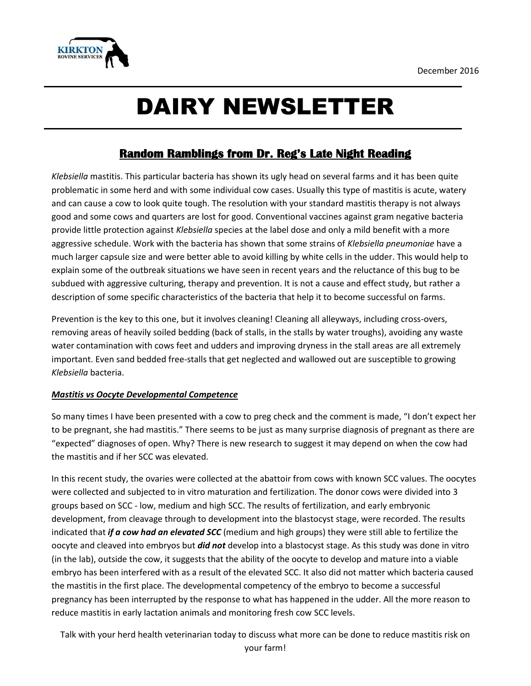

# DAIRY NEWSLETTER

### **Random Ramblings from Dr. Reg's Late Night Reading**

*Klebsiella* mastitis. This particular bacteria has shown its ugly head on several farms and it has been quite problematic in some herd and with some individual cow cases. Usually this type of mastitis is acute, watery and can cause a cow to look quite tough. The resolution with your standard mastitis therapy is not always good and some cows and quarters are lost for good. Conventional vaccines against gram negative bacteria provide little protection against *Klebsiella* species at the label dose and only a mild benefit with a more aggressive schedule. Work with the bacteria has shown that some strains of *Klebsiella pneumoniae* have a much larger capsule size and were better able to avoid killing by white cells in the udder. This would help to explain some of the outbreak situations we have seen in recent years and the reluctance of this bug to be subdued with aggressive culturing, therapy and prevention. It is not a cause and effect study, but rather a description of some specific characteristics of the bacteria that help it to become successful on farms.

Prevention is the key to this one, but it involves cleaning! Cleaning all alleyways, including cross-overs, removing areas of heavily soiled bedding (back of stalls, in the stalls by water troughs), avoiding any waste water contamination with cows feet and udders and improving dryness in the stall areas are all extremely important. Even sand bedded free-stalls that get neglected and wallowed out are susceptible to growing *Klebsiella* bacteria.

#### *Mastitis vs Oocyte Developmental Competence*

So many times I have been presented with a cow to preg check and the comment is made, "I don't expect her to be pregnant, she had mastitis." There seems to be just as many surprise diagnosis of pregnant as there are "expected" diagnoses of open. Why? There is new research to suggest it may depend on when the cow had the mastitis and if her SCC was elevated.

In this recent study, the ovaries were collected at the abattoir from cows with known SCC values. The oocytes were collected and subjected to in vitro maturation and fertilization. The donor cows were divided into 3 groups based on SCC - low, medium and high SCC. The results of fertilization, and early embryonic development, from cleavage through to development into the blastocyst stage, were recorded. The results indicated that *if a cow had an elevated SCC* (medium and high groups) they were still able to fertilize the oocyte and cleaved into embryos but *did not* develop into a blastocyst stage. As this study was done in vitro (in the lab), outside the cow, it suggests that the ability of the oocyte to develop and mature into a viable embryo has been interfered with as a result of the elevated SCC. It also did not matter which bacteria caused the mastitis in the first place. The developmental competency of the embryo to become a successful pregnancy has been interrupted by the response to what has happened in the udder. All the more reason to reduce mastitis in early lactation animals and monitoring fresh cow SCC levels.

Talk with your herd health veterinarian today to discuss what more can be done to reduce mastitis risk on your farm!